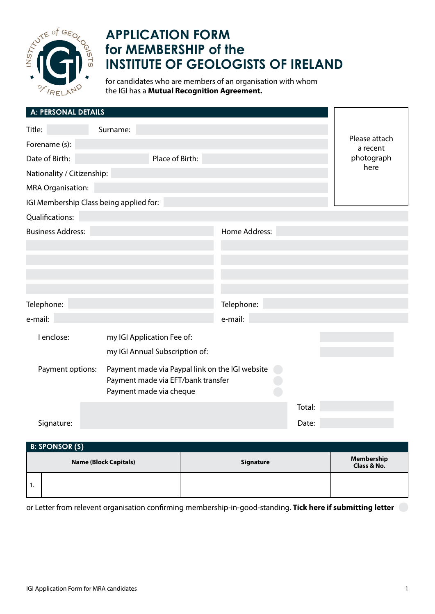

## **APPLICATION FORM for MEMBERSHIP of the INSTITUTE OF GEOLOGISTS OF IRELAND**

for candidates who are members of an organisation with whom the IGI has a **Mutual Recognition Agreement.**

| A: PERSONAL DETAILS                     |                                                                                                                  |               |        |                           |
|-----------------------------------------|------------------------------------------------------------------------------------------------------------------|---------------|--------|---------------------------|
| Title:                                  | Surname:                                                                                                         |               |        |                           |
| Forename (s):                           |                                                                                                                  |               |        | Please attach<br>a recent |
| Date of Birth:                          | Place of Birth:                                                                                                  |               |        | photograph                |
| Nationality / Citizenship:              |                                                                                                                  |               |        | here                      |
| <b>MRA Organisation:</b>                |                                                                                                                  |               |        |                           |
| IGI Membership Class being applied for: |                                                                                                                  |               |        |                           |
| Qualifications:                         |                                                                                                                  |               |        |                           |
| <b>Business Address:</b>                |                                                                                                                  | Home Address: |        |                           |
|                                         |                                                                                                                  |               |        |                           |
|                                         |                                                                                                                  |               |        |                           |
|                                         |                                                                                                                  |               |        |                           |
|                                         |                                                                                                                  |               |        |                           |
| Telephone:                              |                                                                                                                  | Telephone:    |        |                           |
| e-mail:                                 |                                                                                                                  | e-mail:       |        |                           |
| I enclose:                              | my IGI Application Fee of:                                                                                       |               |        |                           |
|                                         | my IGI Annual Subscription of:                                                                                   |               |        |                           |
| Payment options:                        | Payment made via Paypal link on the IGI website<br>Payment made via EFT/bank transfer<br>Payment made via cheque |               |        |                           |
|                                         |                                                                                                                  |               | Total: |                           |
| Signature:                              |                                                                                                                  |               | Date:  |                           |

**Name (Block Capitals) Name (Block Capitals) Remove and Signature Membership Membership Class & No.** 1.  **B: SPONSOR (S)**

or Letter from relevent organisation confirming membership-in-good-standing. **Tick here if submitting letter**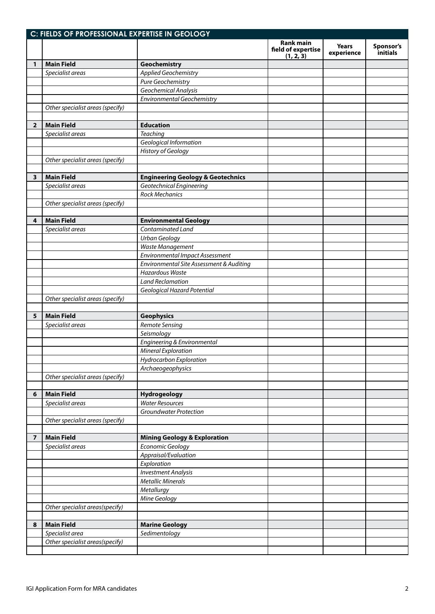|                         | C: FIELDS OF PROFESSIONAL EXPERTISE IN GEOLOGY |                                              |                                                     |                            |                       |
|-------------------------|------------------------------------------------|----------------------------------------------|-----------------------------------------------------|----------------------------|-----------------------|
|                         |                                                |                                              | <b>Rank main</b><br>field of expertise<br>(1, 2, 3) | <b>Years</b><br>experience | Sponsor's<br>initials |
| 1                       | <b>Main Field</b>                              | Geochemistry                                 |                                                     |                            |                       |
|                         | Specialist areas                               | <b>Applied Geochemistry</b>                  |                                                     |                            |                       |
|                         |                                                | Pure Geochemistry                            |                                                     |                            |                       |
|                         |                                                | Geochemical Analysis                         |                                                     |                            |                       |
|                         |                                                | <b>Environmental Geochemistry</b>            |                                                     |                            |                       |
|                         | Other specialist areas (specify)               |                                              |                                                     |                            |                       |
|                         |                                                |                                              |                                                     |                            |                       |
| $\overline{2}$          | <b>Main Field</b>                              | <b>Education</b>                             |                                                     |                            |                       |
|                         | Specialist areas                               | <b>Teaching</b>                              |                                                     |                            |                       |
|                         |                                                | Geological Information                       |                                                     |                            |                       |
|                         |                                                | <b>History of Geology</b>                    |                                                     |                            |                       |
|                         | Other specialist areas (specify)               |                                              |                                                     |                            |                       |
|                         |                                                |                                              |                                                     |                            |                       |
| 3                       | <b>Main Field</b>                              | <b>Engineering Geology &amp; Geotechnics</b> |                                                     |                            |                       |
|                         | Specialist areas                               | Geotechnical Engineering                     |                                                     |                            |                       |
|                         |                                                | <b>Rock Mechanics</b>                        |                                                     |                            |                       |
|                         | Other specialist areas (specify)               |                                              |                                                     |                            |                       |
|                         |                                                |                                              |                                                     |                            |                       |
| 4                       | <b>Main Field</b>                              | <b>Environmental Geology</b>                 |                                                     |                            |                       |
|                         | Specialist areas                               | Contaminated Land                            |                                                     |                            |                       |
|                         |                                                | <b>Urban Geology</b>                         |                                                     |                            |                       |
|                         |                                                | Waste Management                             |                                                     |                            |                       |
|                         |                                                | <b>Environmental Impact Assessment</b>       |                                                     |                            |                       |
|                         |                                                | Environmental Site Assessment & Auditing     |                                                     |                            |                       |
|                         |                                                | <b>Hazardous Waste</b>                       |                                                     |                            |                       |
|                         |                                                | <b>Land Reclamation</b>                      |                                                     |                            |                       |
|                         |                                                | Geological Hazard Potential                  |                                                     |                            |                       |
|                         | Other specialist areas (specify)               |                                              |                                                     |                            |                       |
|                         |                                                |                                              |                                                     |                            |                       |
| 5                       | <b>Main Field</b>                              | <b>Geophysics</b>                            |                                                     |                            |                       |
|                         | Specialist areas                               | Remote Sensing                               |                                                     |                            |                       |
|                         |                                                | Seismology                                   |                                                     |                            |                       |
|                         |                                                | Engineering & Environmental                  |                                                     |                            |                       |
|                         |                                                | Mineral Exploration                          |                                                     |                            |                       |
|                         |                                                | Hydrocarbon Exploration                      |                                                     |                            |                       |
|                         |                                                | Archaeogeophysics                            |                                                     |                            |                       |
|                         | Other specialist areas (specify)               |                                              |                                                     |                            |                       |
|                         |                                                |                                              |                                                     |                            |                       |
| 6                       | <b>Main Field</b>                              | Hydrogeology                                 |                                                     |                            |                       |
|                         | Specialist areas                               | <b>Water Resources</b>                       |                                                     |                            |                       |
|                         |                                                | <b>Groundwater Protection</b>                |                                                     |                            |                       |
|                         | Other specialist areas (specify)               |                                              |                                                     |                            |                       |
|                         |                                                |                                              |                                                     |                            |                       |
| $\overline{\mathbf{z}}$ | <b>Main Field</b>                              | <b>Mining Geology &amp; Exploration</b>      |                                                     |                            |                       |
|                         | Specialist areas                               | Economic Geology                             |                                                     |                            |                       |
|                         |                                                | Appraisal/Evaluation                         |                                                     |                            |                       |
|                         |                                                | Exploration                                  |                                                     |                            |                       |
|                         |                                                | <b>Investment Analysis</b>                   |                                                     |                            |                       |
|                         |                                                | <b>Metallic Minerals</b>                     |                                                     |                            |                       |
|                         |                                                | Metallurgy                                   |                                                     |                            |                       |
|                         |                                                | Mine Geology                                 |                                                     |                            |                       |
|                         | Other specialist areas(specify)                |                                              |                                                     |                            |                       |
|                         |                                                |                                              |                                                     |                            |                       |
| 8                       | <b>Main Field</b>                              | <b>Marine Geology</b>                        |                                                     |                            |                       |
|                         | Specialist area                                | Sedimentology                                |                                                     |                            |                       |
|                         | Other specialist areas(specify)                |                                              |                                                     |                            |                       |
|                         |                                                |                                              |                                                     |                            |                       |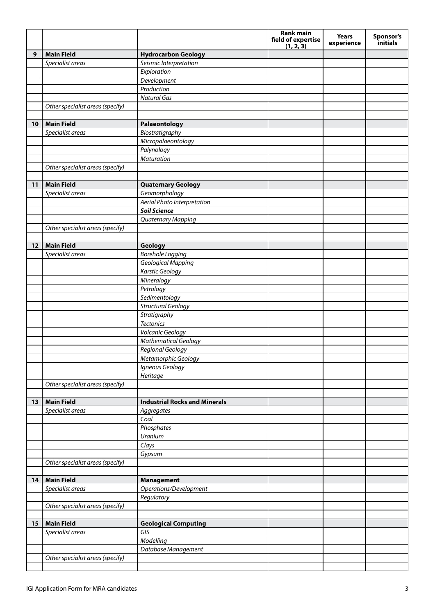|    |                                  |                                      | Rank main<br>field of expertise | <b>Years</b><br>experience | Sponsor's<br>initials |
|----|----------------------------------|--------------------------------------|---------------------------------|----------------------------|-----------------------|
| 9  | <b>Main Field</b>                | <b>Hydrocarbon Geology</b>           | (1, 2, 3)                       |                            |                       |
|    | Specialist areas                 | Seismic Interpretation               |                                 |                            |                       |
|    |                                  | Exploration                          |                                 |                            |                       |
|    |                                  | Development                          |                                 |                            |                       |
|    |                                  | Production                           |                                 |                            |                       |
|    |                                  | <b>Natural Gas</b>                   |                                 |                            |                       |
|    | Other specialist areas (specify) |                                      |                                 |                            |                       |
|    |                                  |                                      |                                 |                            |                       |
| 10 | <b>Main Field</b>                | Palaeontology                        |                                 |                            |                       |
|    | Specialist areas                 | Biostratigraphy                      |                                 |                            |                       |
|    |                                  | Micropalaeontology                   |                                 |                            |                       |
|    |                                  | Palynology                           |                                 |                            |                       |
|    |                                  | Maturation                           |                                 |                            |                       |
|    | Other specialist areas (specify) |                                      |                                 |                            |                       |
|    |                                  |                                      |                                 |                            |                       |
| 11 | <b>Main Field</b>                | <b>Quaternary Geology</b>            |                                 |                            |                       |
|    | Specialist areas                 | Geomorphology                        |                                 |                            |                       |
|    |                                  | Aerial Photo Interpretation          |                                 |                            |                       |
|    |                                  | <b>Soil Science</b>                  |                                 |                            |                       |
|    |                                  | Quaternary Mapping                   |                                 |                            |                       |
|    | Other specialist areas (specify) |                                      |                                 |                            |                       |
|    | <b>Main Field</b>                |                                      |                                 |                            |                       |
| 12 | Specialist areas                 | Geology<br><b>Borehole Logging</b>   |                                 |                            |                       |
|    |                                  | Geological Mapping                   |                                 |                            |                       |
|    |                                  | <b>Karstic Geology</b>               |                                 |                            |                       |
|    |                                  | Mineralogy                           |                                 |                            |                       |
|    |                                  | Petrology                            |                                 |                            |                       |
|    |                                  | Sedimentology                        |                                 |                            |                       |
|    |                                  | <b>Structural Geology</b>            |                                 |                            |                       |
|    |                                  | Stratigraphy                         |                                 |                            |                       |
|    |                                  | <b>Tectonics</b>                     |                                 |                            |                       |
|    |                                  | Volcanic Geology                     |                                 |                            |                       |
|    |                                  | <b>Mathematical Geology</b>          |                                 |                            |                       |
|    |                                  | Regional Geology                     |                                 |                            |                       |
|    |                                  | Metamorphic Geology                  |                                 |                            |                       |
|    |                                  | Igneous Geology                      |                                 |                            |                       |
|    |                                  | Heritage                             |                                 |                            |                       |
|    | Other specialist areas (specify) |                                      |                                 |                            |                       |
|    |                                  |                                      |                                 |                            |                       |
| 13 | <b>Main Field</b>                | <b>Industrial Rocks and Minerals</b> |                                 |                            |                       |
|    | Specialist areas                 | Aggregates                           |                                 |                            |                       |
|    |                                  | Coal                                 |                                 |                            |                       |
|    |                                  | Phosphates                           |                                 |                            |                       |
|    |                                  | Uranium                              |                                 |                            |                       |
|    |                                  | Clays                                |                                 |                            |                       |
|    |                                  | Gypsum                               |                                 |                            |                       |
|    | Other specialist areas (specify) |                                      |                                 |                            |                       |
|    | <b>Main Field</b>                | <b>Management</b>                    |                                 |                            |                       |
| 14 | Specialist areas                 | Operations/Development               |                                 |                            |                       |
|    |                                  | Regulatory                           |                                 |                            |                       |
|    | Other specialist areas (specify) |                                      |                                 |                            |                       |
|    |                                  |                                      |                                 |                            |                       |
| 15 | <b>Main Field</b>                | <b>Geological Computing</b>          |                                 |                            |                       |
|    | Specialist areas                 | GIS                                  |                                 |                            |                       |
|    |                                  | Modelling                            |                                 |                            |                       |
|    |                                  | Database Management                  |                                 |                            |                       |
|    | Other specialist areas (specify) |                                      |                                 |                            |                       |
|    |                                  |                                      |                                 |                            |                       |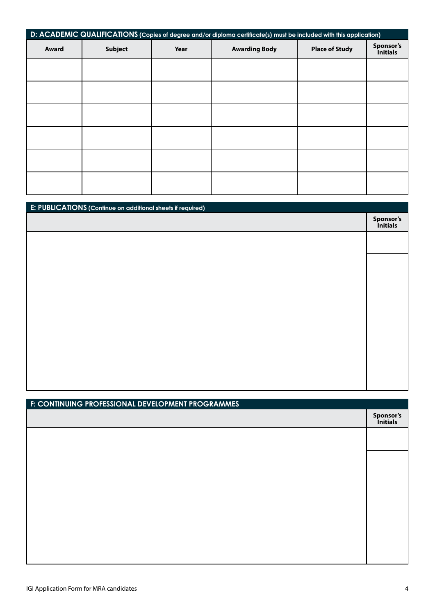| D: ACADEMIC QUALIFICATIONS (Copies of degree and/or diploma certificate(s) must be included with this application) |                |      |                      |                       |                              |
|--------------------------------------------------------------------------------------------------------------------|----------------|------|----------------------|-----------------------|------------------------------|
| Award                                                                                                              | <b>Subject</b> | Year | <b>Awarding Body</b> | <b>Place of Study</b> | Sponsor's<br><i>initials</i> |
|                                                                                                                    |                |      |                      |                       |                              |
|                                                                                                                    |                |      |                      |                       |                              |
|                                                                                                                    |                |      |                      |                       |                              |
|                                                                                                                    |                |      |                      |                       |                              |
|                                                                                                                    |                |      |                      |                       |                              |
|                                                                                                                    |                |      |                      |                       |                              |

| E: PUBLICATIONS (Continue on additional sheets if required) |                       |
|-------------------------------------------------------------|-----------------------|
|                                                             | Sponsor's<br>Initials |
|                                                             |                       |
|                                                             |                       |
|                                                             |                       |
|                                                             |                       |
|                                                             |                       |
|                                                             |                       |
|                                                             |                       |
|                                                             |                       |
|                                                             |                       |
|                                                             |                       |

| F: CONTINUING PROFESSIONAL DEVELOPMENT PROGRAMMES |                       |
|---------------------------------------------------|-----------------------|
|                                                   | Sponsor's<br>Initials |
|                                                   |                       |
|                                                   |                       |
|                                                   |                       |
|                                                   |                       |
|                                                   |                       |
|                                                   |                       |
|                                                   |                       |
|                                                   |                       |
|                                                   |                       |
|                                                   |                       |
|                                                   |                       |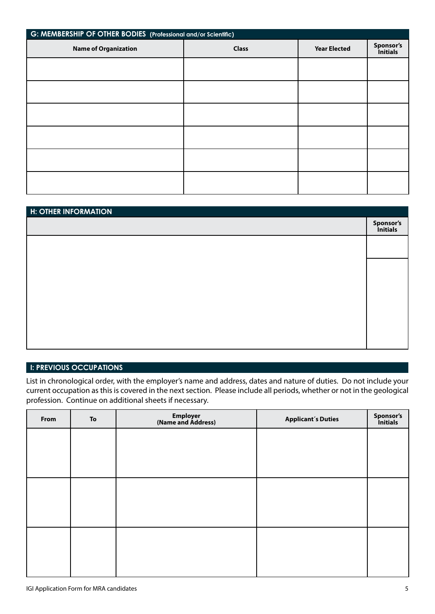| G: MEMBERSHIP OF OTHER BODIES (Professional and/or Scientific) |              |                     |                       |  |  |
|----------------------------------------------------------------|--------------|---------------------|-----------------------|--|--|
| <b>Name of Organization</b>                                    | <b>Class</b> | <b>Year Elected</b> | Sponsor's<br>Initials |  |  |
|                                                                |              |                     |                       |  |  |
|                                                                |              |                     |                       |  |  |
|                                                                |              |                     |                       |  |  |
|                                                                |              |                     |                       |  |  |
|                                                                |              |                     |                       |  |  |
|                                                                |              |                     |                       |  |  |
|                                                                |              |                     |                       |  |  |

| <b>H: OTHER INFORMATION</b> |                       |
|-----------------------------|-----------------------|
|                             | Sponsor's<br>Initials |
|                             |                       |
|                             |                       |
|                             |                       |
|                             |                       |
|                             |                       |
|                             |                       |
|                             |                       |

## **I: PREVIOUS OCCUPATIONS**

List in chronological order, with the employer's name and address, dates and nature of duties. Do not include your current occupation as this is covered in the next section. Please include all periods, whether or not in the geological profession. Continue on additional sheets if necessary.

| From | To | Employer<br>(Name and Address) | <b>Applicant's Duties</b> | Sponsor's<br>Initials |
|------|----|--------------------------------|---------------------------|-----------------------|
|      |    |                                |                           |                       |
|      |    |                                |                           |                       |
|      |    |                                |                           |                       |
|      |    |                                |                           |                       |
|      |    |                                |                           |                       |
|      |    |                                |                           |                       |
|      |    |                                |                           |                       |
|      |    |                                |                           |                       |
|      |    |                                |                           |                       |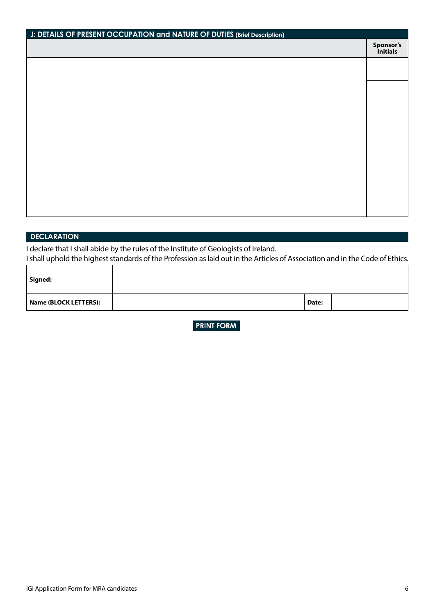| J: DETAILS OF PRESENT OCCUPATION and NATURE OF DUTIES (Brief Description) |                       |  |
|---------------------------------------------------------------------------|-----------------------|--|
|                                                                           | Sponsor's<br>Initials |  |
|                                                                           |                       |  |
|                                                                           |                       |  |
|                                                                           |                       |  |
|                                                                           |                       |  |
|                                                                           |                       |  |
|                                                                           |                       |  |
|                                                                           |                       |  |
|                                                                           |                       |  |
|                                                                           |                       |  |
|                                                                           |                       |  |
|                                                                           |                       |  |
|                                                                           |                       |  |
|                                                                           |                       |  |

## **DECLARATION**

I declare that I shall abide by the rules of the Institute of Geologists of Ireland.

I shall uphold the highest standards of the Profession as laid out in the Articles of Association and in the Code of Ethics.

| Signed:               |       |  |
|-----------------------|-------|--|
| Name (BLOCK LETTERS): | Date: |  |

**PRINT FORM** 

٦